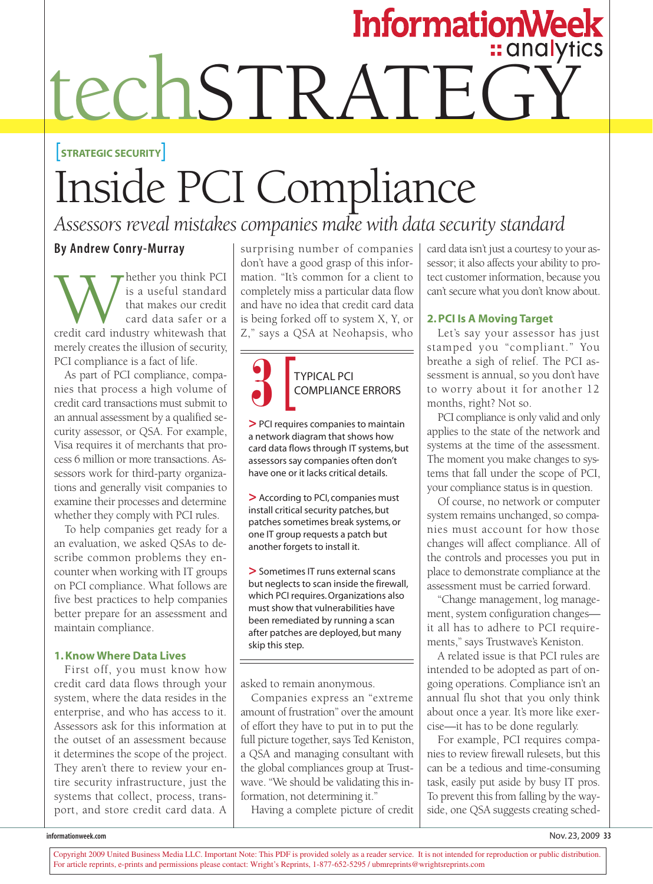# InformationWeek<br>techSTRATEGY

#### [**STRATEGIC SECURITY**]

## Inside PCI Compliance

### *Assessors reveal mistakes companies make with data security standard*

#### **By Andrew Conry-Murray**

Whether you think PCI<br>that makes our credit<br>card data safer or a<br>credit card industry whitewash that is a useful standard that makes our credit card data safer or a merely creates the illusion of security, PCI compliance is a fact of life.

As part of PCI compliance, companies that process a high volume of credit card transactions must submit to an annual assessment by a qualified security assessor, or QSA. For example, Visa requires it of merchants that process 6 million or more transactions. Assessors work for third-party organizations and generally visit companies to examine their processes and determine whether they comply with PCI rules.

To help companies get ready for a an evaluation, we asked QSAs to describe common problems they encounter when working with IT groups on PCI compliance. What follows are five best practices to help companies better prepare for an assessment and maintain compliance.

#### **1. Know Where Data Lives**

First off, you must know how credit card data flows through your system, where the data resides in the enterprise, and who has access to it. Assessors ask for this information at the outset of an assessment because it determines the scope of the project. They aren't there to review your entire security infrastructure, just the systems that collect, process, transport, and store credit card data. A surprising number of companies don't have a good grasp of this information. "It's common for a client to completely miss a particular data flow and have no idea that credit card data is being forked off to system X, Y, or Z," says a QSA at Neohapsis, who



**>**PCI requires companies to maintain a network diagram that shows how card data flows through IT systems, but assessors say companies often don't have one or it lacks critical details.

**>** According to PCI, companies must install critical security patches, but patches sometimes break systems, or one IT group requests a patch but another forgets to install it.

**>**Sometimes IT runs external scans but neglects to scan inside the firewall, which PCI requires. Organizations also must show that vulnerabilities have been remediated by running a scan after patches are deployed, but many skip this step.

asked to remain anonymous.

Companies express an "extreme amount of frustration" over the amount of effort they have to put in to put the full picture together, says Ted Keniston, a QSA and managing consultant with the global compliances group at Trustwave. "We should be validating this information, not determining it."

Having a complete picture of credit

card data isn't just a courtesy to your assessor; it also affects your ability to protect customer information, because you can't secure what you don't know about.

#### **2. PCI Is A Moving Target**

Let's say your assessor has just stamped you "compliant." You breathe a sigh of relief. The PCI assessment is annual, so you don't have to worry about it for another 12 months, right? Not so.

PCI compliance is only valid and only applies to the state of the network and systems at the time of the assessment. The moment you make changes to systems that fall under the scope of PCI, your compliance status is in question.

Of course, no network or computer system remains unchanged, so companies must account for how those changes will affect compliance. All of the controls and processes you put in place to demonstrate compliance at the assessment must be carried forward.

"Change management, log management, system configuration changes it all has to adhere to PCI requirements," says Trustwave's Keniston.

A related issue is that PCI rules are intended to be adopted as part of ongoing operations. Compliance isn't an annual flu shot that you only think about once a year. It's more like exercise—it has to be done regularly.

For example, PCI requires companies to review firewall rulesets, but this can be a tedious and time-consuming task, easily put aside by busy IT pros. To prevent this from falling by the wayside, one QSA suggests creating sched-

Copyright 2009 United Business Media LLC. Important Note: This PDF is provided solely as a reader service. It is not intended for reproduction or public distribution. For article reprints, e-prints and permissions please contact: Wright's Reprints, 1-877-652-5295 / ubmreprints@wrightsreprints.com